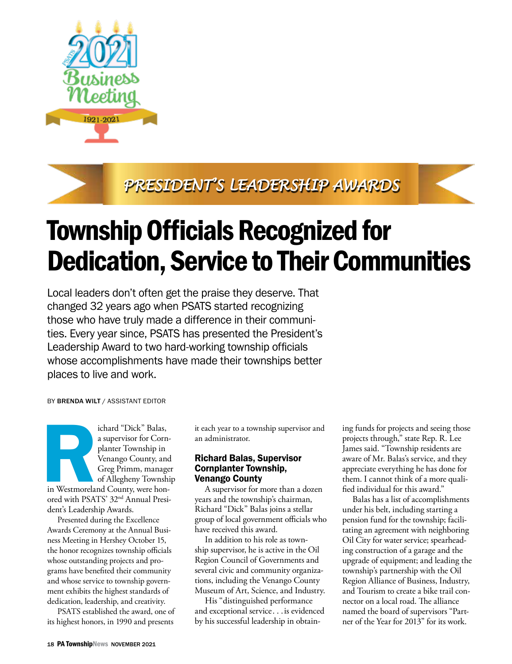

*PRESIDENT'S LEADERSHIP AWARDS*

## Township Officials Recognized for Dedication, Service to Their Communities

Local leaders don't often get the praise they deserve. That changed 32 years ago when PSATS started recognizing those who have truly made a difference in their communities. Every year since, PSATS has presented the President's Leadership Award to two hard-working township officials whose accomplishments have made their townships better places to live and work.

BY BRENDA WILT / ASSISTANT EDITOR

ichard "Dick" Balas,<br>
a supervisor for Corn<br>
planter Township in<br>
Venango County, and<br>
Greg Primm, manage<br>
of Allegheny Townsh<br>
in Westmoreland County, were hon-<br>
ored with PSATS' 32<sup>nd</sup> Annual Presi a supervisor for Cornplanter Township in Venango County, and Greg Primm, manager of Allegheny Township in Westmoreland County, were honored with PSATS' 32nd Annual President's Leadership Awards.

Presented during the Excellence Awards Ceremony at the Annual Business Meeting in Hershey October 15, the honor recognizes township officials whose outstanding projects and programs have benefited their community and whose service to township government exhibits the highest standards of dedication, leadership, and creativity.

PSATS established the award, one of its highest honors, in 1990 and presents

it each year to a township supervisor and an administrator.

## Richard Balas, Supervisor Cornplanter Township, Venango County

A supervisor for more than a dozen years and the township's chairman, Richard "Dick" Balas joins a stellar group of local government officials who have received this award.

In addition to his role as township supervisor, he is active in the Oil Region Council of Governments and several civic and community organizations, including the Venango County Museum of Art, Science, and Industry.

His "distinguished performance and exceptional service. . .is evidenced by his successful leadership in obtain-

ing funds for projects and seeing those projects through," state Rep. R. Lee James said. "Township residents are aware of Mr. Balas's service, and they appreciate everything he has done for them. I cannot think of a more qualified individual for this award."

Balas has a list of accomplishments under his belt, including starting a pension fund for the township; facilitating an agreement with neighboring Oil City for water service; spearheading construction of a garage and the upgrade of equipment; and leading the township's partnership with the Oil Region Alliance of Business, Industry, and Tourism to create a bike trail connector on a local road. The alliance named the board of supervisors "Partner of the Year for 2013" for its work.